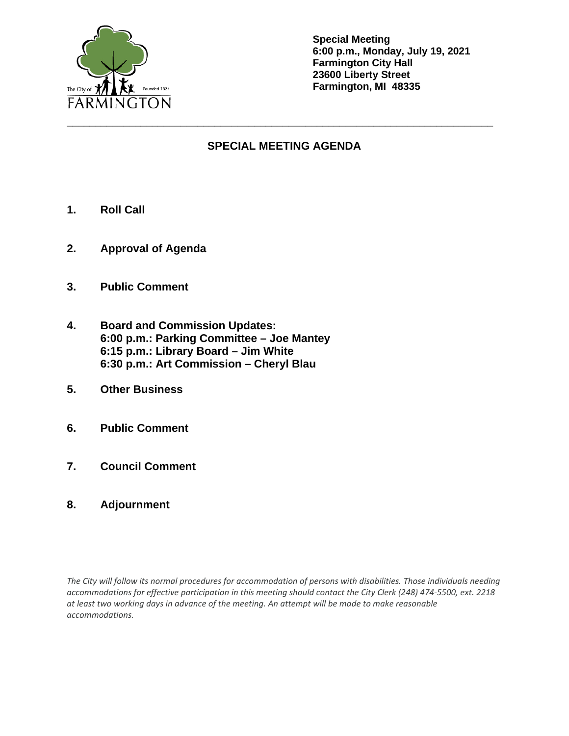

**Special Meeting 6:00 p.m., Monday, July 19, 2021 Farmington City Hall 23600 Liberty Street Farmington, MI 48335**

## **SPECIAL MEETING AGENDA**

**\_\_\_\_\_\_\_\_\_\_\_\_\_\_\_\_\_\_\_\_\_\_\_\_\_\_\_\_\_\_\_\_\_\_\_\_\_\_\_\_\_\_\_\_\_\_\_\_\_\_\_\_\_\_\_\_\_\_\_\_\_\_\_\_\_\_\_\_\_\_\_\_\_\_\_**

- **1. Roll Call**
- **2. Approval of Agenda**
- **3. Public Comment**
- **4. Board and Commission Updates: 6:00 p.m.: Parking Committee – Joe Mantey 6:15 p.m.: Library Board – Jim White 6:30 p.m.: Art Commission – Cheryl Blau**
- **5. Other Business**
- **6. Public Comment**
- **7. Council Comment**
- **8. Adjournment**

*The City will follow its normal procedures for accommodation of persons with disabilities. Those individuals needing accommodations for effective participation in this meeting should contact the City Clerk (248) 474-5500, ext. 2218 at least two working days in advance of the meeting. An attempt will be made to make reasonable accommodations.*